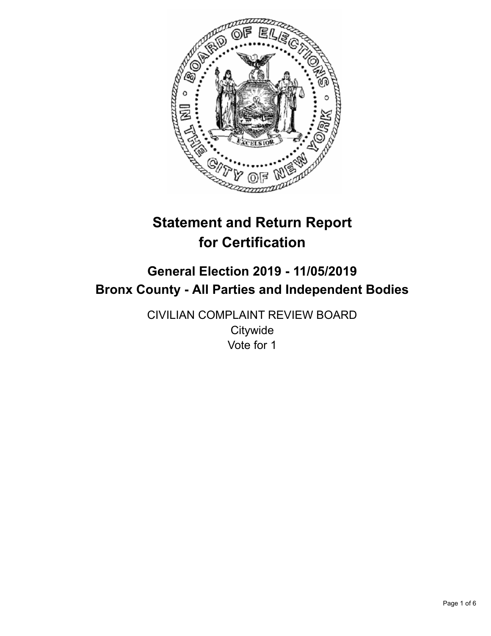

# **Statement and Return Report for Certification**

# **General Election 2019 - 11/05/2019 Bronx County - All Parties and Independent Bodies**

CIVILIAN COMPLAINT REVIEW BOARD **Citywide** Vote for 1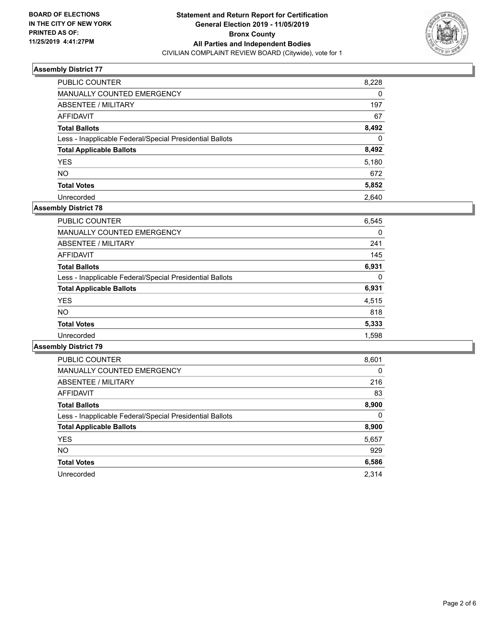

| PUBLIC COUNTER                                           | 8,228    |
|----------------------------------------------------------|----------|
| <b>MANUALLY COUNTED EMERGENCY</b>                        | 0        |
| ABSENTEE / MILITARY                                      | 197      |
| AFFIDAVIT                                                | 67       |
| <b>Total Ballots</b>                                     | 8,492    |
| Less - Inapplicable Federal/Special Presidential Ballots | $\Omega$ |
| <b>Total Applicable Ballots</b>                          | 8,492    |
| <b>YES</b>                                               | 5,180    |
| <b>NO</b>                                                | 672      |
| <b>Total Votes</b>                                       | 5,852    |
| Unrecorded                                               | 2.640    |

#### **Assembly District 78**

| 6,545 |
|-------|
| 0     |
| 241   |
| 145   |
| 6,931 |
| 0     |
| 6,931 |
| 4,515 |
| 818   |
| 5,333 |
| 1.598 |
|       |

| <b>PUBLIC COUNTER</b>                                    | 8,601    |
|----------------------------------------------------------|----------|
| <b>MANUALLY COUNTED EMERGENCY</b>                        | $\Omega$ |
| ABSENTEE / MILITARY                                      | 216      |
| <b>AFFIDAVIT</b>                                         | 83       |
| <b>Total Ballots</b>                                     | 8,900    |
| Less - Inapplicable Federal/Special Presidential Ballots | $\Omega$ |
| <b>Total Applicable Ballots</b>                          | 8,900    |
| <b>YES</b>                                               | 5,657    |
| <b>NO</b>                                                | 929      |
| <b>Total Votes</b>                                       | 6,586    |
| Unrecorded                                               | 2.314    |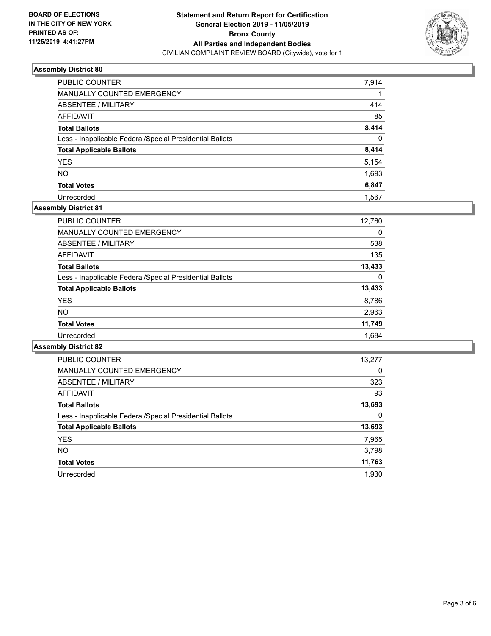

| <b>PUBLIC COUNTER</b>                                    | 7,914    |
|----------------------------------------------------------|----------|
| <b>MANUALLY COUNTED EMERGENCY</b>                        |          |
| ABSENTEE / MILITARY                                      | 414      |
| AFFIDAVIT                                                | 85       |
| <b>Total Ballots</b>                                     | 8,414    |
| Less - Inapplicable Federal/Special Presidential Ballots | $\Omega$ |
| <b>Total Applicable Ballots</b>                          | 8,414    |
| <b>YES</b>                                               | 5,154    |
| <b>NO</b>                                                | 1,693    |
| <b>Total Votes</b>                                       | 6,847    |
| Unrecorded                                               | 1.567    |

# **Assembly District 81**

| <b>PUBLIC COUNTER</b>                                    | 12,760 |
|----------------------------------------------------------|--------|
| <b>MANUALLY COUNTED EMERGENCY</b>                        | 0      |
| ABSENTEE / MILITARY                                      | 538    |
| AFFIDAVIT                                                | 135    |
| <b>Total Ballots</b>                                     | 13,433 |
| Less - Inapplicable Federal/Special Presidential Ballots | 0      |
| <b>Total Applicable Ballots</b>                          | 13,433 |
| <b>YES</b>                                               | 8,786  |
| NO.                                                      | 2,963  |
| <b>Total Votes</b>                                       | 11,749 |
| Unrecorded                                               | 1.684  |

| <b>PUBLIC COUNTER</b>                                    | 13,277   |
|----------------------------------------------------------|----------|
| <b>MANUALLY COUNTED EMERGENCY</b>                        | $\Omega$ |
| ABSENTEE / MILITARY                                      | 323      |
| AFFIDAVIT                                                | 93       |
| <b>Total Ballots</b>                                     | 13,693   |
| Less - Inapplicable Federal/Special Presidential Ballots | 0        |
| <b>Total Applicable Ballots</b>                          | 13,693   |
| <b>YES</b>                                               | 7,965    |
| <b>NO</b>                                                | 3,798    |
| <b>Total Votes</b>                                       | 11,763   |
| Unrecorded                                               | 1.930    |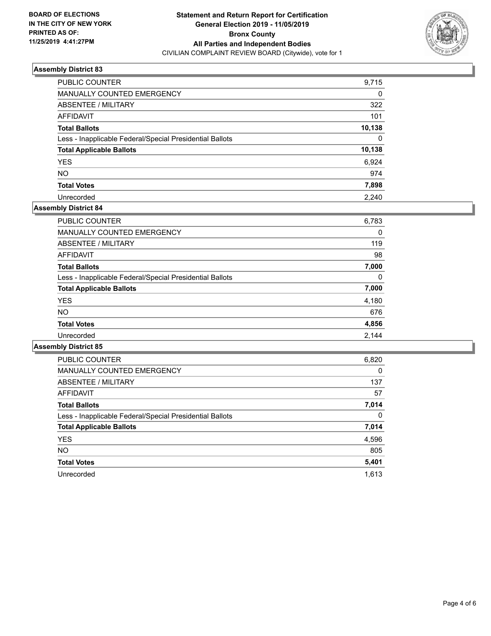

| PUBLIC COUNTER                                           | 9,715  |
|----------------------------------------------------------|--------|
| MANUALLY COUNTED EMERGENCY                               | 0      |
| ABSENTEE / MILITARY                                      | 322    |
| AFFIDAVIT                                                | 101    |
| <b>Total Ballots</b>                                     | 10,138 |
| Less - Inapplicable Federal/Special Presidential Ballots | 0      |
| <b>Total Applicable Ballots</b>                          | 10,138 |
| <b>YES</b>                                               | 6.924  |
| <b>NO</b>                                                | 974    |
| <b>Total Votes</b>                                       | 7,898  |
| Unrecorded                                               | 2.240  |

## **Assembly District 84**

| <b>PUBLIC COUNTER</b>                                    | 6,783    |
|----------------------------------------------------------|----------|
| <b>MANUALLY COUNTED EMERGENCY</b>                        | 0        |
| ABSENTEE / MILITARY                                      | 119      |
| AFFIDAVIT                                                | 98       |
| <b>Total Ballots</b>                                     | 7,000    |
| Less - Inapplicable Federal/Special Presidential Ballots | $\Omega$ |
| <b>Total Applicable Ballots</b>                          | 7,000    |
| <b>YES</b>                                               | 4,180    |
| NO.                                                      | 676      |
| <b>Total Votes</b>                                       | 4,856    |
| Unrecorded                                               | 2.144    |

| <b>PUBLIC COUNTER</b>                                    | 6,820    |
|----------------------------------------------------------|----------|
| <b>MANUALLY COUNTED EMERGENCY</b>                        | $\Omega$ |
| ABSENTEE / MILITARY                                      | 137      |
| <b>AFFIDAVIT</b>                                         | 57       |
| <b>Total Ballots</b>                                     | 7,014    |
| Less - Inapplicable Federal/Special Presidential Ballots | $\Omega$ |
| <b>Total Applicable Ballots</b>                          | 7,014    |
| <b>YES</b>                                               | 4,596    |
| NO.                                                      | 805      |
| <b>Total Votes</b>                                       | 5,401    |
| Unrecorded                                               | 1.613    |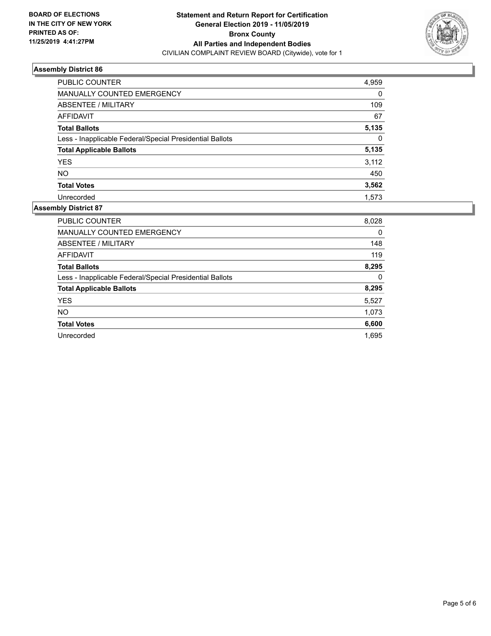

| PUBLIC COUNTER                                           | 4,959    |
|----------------------------------------------------------|----------|
| <b>MANUALLY COUNTED EMERGENCY</b>                        | $\Omega$ |
| ABSENTEE / MILITARY                                      | 109      |
| AFFIDAVIT                                                | 67       |
| <b>Total Ballots</b>                                     | 5,135    |
| Less - Inapplicable Federal/Special Presidential Ballots | $\Omega$ |
| <b>Total Applicable Ballots</b>                          | 5,135    |
| <b>YES</b>                                               | 3,112    |
| <b>NO</b>                                                | 450      |
| <b>Total Votes</b>                                       | 3,562    |
| Unrecorded                                               | 1.573    |

| <b>PUBLIC COUNTER</b>                                    | 8,028 |
|----------------------------------------------------------|-------|
| <b>MANUALLY COUNTED EMERGENCY</b>                        | 0     |
| ABSENTEE / MILITARY                                      | 148   |
| <b>AFFIDAVIT</b>                                         | 119   |
| <b>Total Ballots</b>                                     | 8,295 |
| Less - Inapplicable Federal/Special Presidential Ballots | 0     |
| <b>Total Applicable Ballots</b>                          | 8,295 |
| <b>YES</b>                                               | 5,527 |
| <b>NO</b>                                                | 1,073 |
| <b>Total Votes</b>                                       | 6,600 |
| Unrecorded                                               | 1.695 |